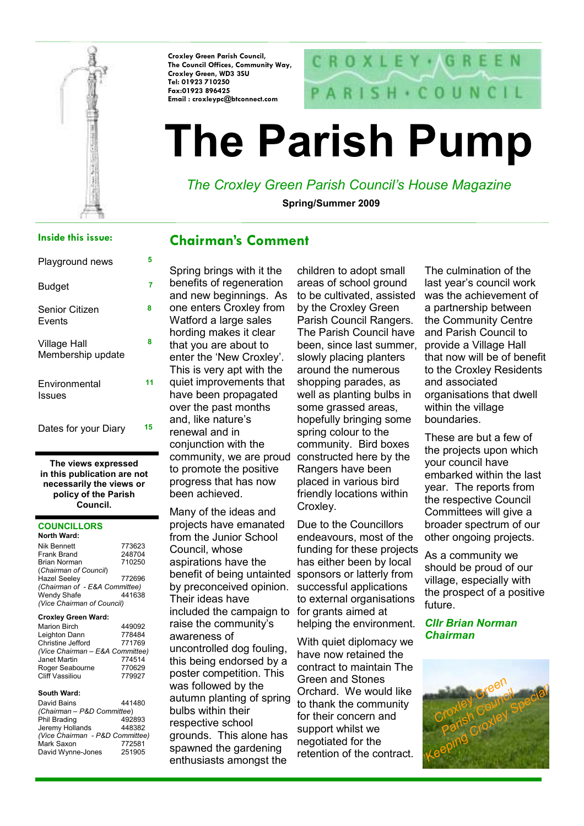

Croxley Green Parish Council, The Council Offices, Community Way, Croxley Green, WD3 3SU Tel: 01923 710250 Fax:01923 896425 Email : croxleypc@btconnect.com



# The Parish Pump

# The Croxley Green Parish Council's House Magazine

Spring/Summer 2009

#### Inside this issue:

| Playground news                   | 5  |
|-----------------------------------|----|
| Budget                            | 7  |
| Senior Citizen<br>Events          | 8  |
| Village Hall<br>Membership update | 8  |
| Environmental<br>Issues           | 11 |
| Dates for your Diary              | 15 |

The views expressed in this publication are not necessarily the views or policy of the Parish Council.

#### **COUNCILLORS**

| 773623                        |
|-------------------------------|
| 248704                        |
| 710250                        |
|                               |
| 772696                        |
| (Chairman of - E&A Committee) |
| 441638                        |
| (Vice Chairman of Council)    |
|                               |

#### Croxley Green Ward:

| <b>Marion Birch</b>             | 449092 |
|---------------------------------|--------|
| Leighton Dann                   | 778484 |
| Christine Jefford               | 771769 |
| (Vice Chairman - E&A Committee) |        |
| Janet Martin                    | 774514 |
| Roger Seabourne                 | 770629 |
| <b>Cliff Vassiliou</b>          | 779927 |

#### South Ward:

| David Bains                     | 441480 |
|---------------------------------|--------|
| (Chairman - P&D Committee)      |        |
| Phil Brading                    | 492893 |
| Jeremy Hollands                 | 448382 |
| (Vice Chairman - P&D Committee) |        |
| Mark Saxon                      | 772581 |
| David Wynne-Jones               | 251905 |

## Chairman's Comment

Spring brings with it the benefits of regeneration and new beginnings. As one enters Croxley from Watford a large sales hording makes it clear that you are about to enter the 'New Croxley'. This is very apt with the quiet improvements that have been propagated over the past months and, like nature's renewal and in conjunction with the community, we are proud constructed here by the to promote the positive progress that has now been achieved.

Many of the ideas and projects have emanated from the Junior School Council, whose aspirations have the benefit of being untainted sponsors or latterly from by preconceived opinion. Their ideas have included the campaign to raise the community's awareness of uncontrolled dog fouling, this being endorsed by a poster competition. This was followed by the autumn planting of spring bulbs within their respective school grounds. This alone has spawned the gardening enthusiasts amongst the

children to adopt small areas of school ground to be cultivated, assisted by the Croxley Green Parish Council Rangers. The Parish Council have been, since last summer, slowly placing planters around the numerous shopping parades, as well as planting bulbs in some grassed areas. hopefully bringing some spring colour to the community. Bird boxes Rangers have been placed in various bird friendly locations within Croxley.

Due to the Councillors endeavours, most of the funding for these projects has either been by local successful applications to external organisations for grants aimed at helping the environment.

With quiet diplomacy we have now retained the contract to maintain The Green and Stones Orchard. We would like to thank the community for their concern and support whilst we negotiated for the retention of the contract.

The culmination of the last year's council work was the achievement of a partnership between the Community Centre and Parish Council to provide a Village Hall that now will be of benefit to the Croxley Residents and associated organisations that dwell within the village boundaries.

These are but a few of the projects upon which your council have embarked within the last year. The reports from the respective Council Committees will give a broader spectrum of our other ongoing projects.

As a community we should be proud of our village, especially with the prospect of a positive future.

Cllr Brian Norman Chairman

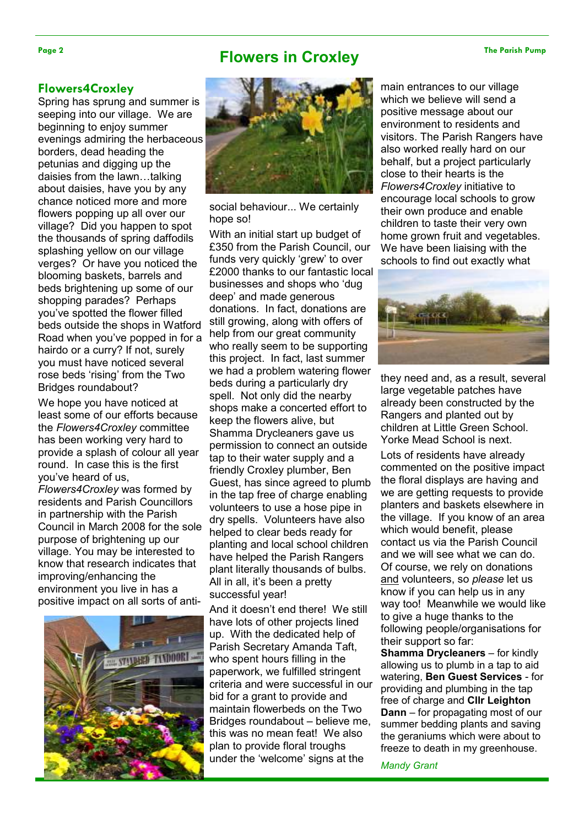# Page 2 The Parish Pump **Flowers in Croxley** The Parish Pump

#### Flowers4Croxley

Spring has sprung and summer is seeping into our village. We are beginning to enjoy summer evenings admiring the herbaceous borders, dead heading the petunias and digging up the daisies from the lawn…talking about daisies, have you by any chance noticed more and more flowers popping up all over our village? Did you happen to spot the thousands of spring daffodils splashing yellow on our village verges? Or have you noticed the blooming baskets, barrels and beds brightening up some of our shopping parades? Perhaps you've spotted the flower filled beds outside the shops in Watford Road when you've popped in for a hairdo or a curry? If not, surely you must have noticed several rose beds 'rising' from the Two Bridges roundabout?

We hope you have noticed at least some of our efforts because the Flowers4Croxley committee has been working very hard to provide a splash of colour all year round. In case this is the first you've heard of us,

Flowers4Croxley was formed by residents and Parish Councillors in partnership with the Parish Council in March 2008 for the sole purpose of brightening up our village. You may be interested to know that research indicates that improving/enhancing the environment you live in has a positive impact on all sorts of anti-





social behaviour... We certainly hope so!

With an initial start up budget of £350 from the Parish Council, our funds very quickly 'grew' to over £2000 thanks to our fantastic local businesses and shops who 'dug deep' and made generous donations. In fact, donations are still growing, along with offers of help from our great community who really seem to be supporting this project. In fact, last summer we had a problem watering flower beds during a particularly dry spell. Not only did the nearby shops make a concerted effort to keep the flowers alive, but Shamma Drycleaners gave us permission to connect an outside tap to their water supply and a friendly Croxley plumber, Ben Guest, has since agreed to plumb in the tap free of charge enabling volunteers to use a hose pipe in dry spells. Volunteers have also helped to clear beds ready for planting and local school children have helped the Parish Rangers plant literally thousands of bulbs. All in all, it's been a pretty successful year!

And it doesn't end there! We still have lots of other projects lined up. With the dedicated help of Parish Secretary Amanda Taft, who spent hours filling in the paperwork, we fulfilled stringent criteria and were successful in our bid for a grant to provide and maintain flowerbeds on the Two Bridges roundabout – believe me, this was no mean feat! We also plan to provide floral troughs under the 'welcome' signs at the

main entrances to our village which we believe will send a positive message about our environment to residents and visitors. The Parish Rangers have also worked really hard on our behalf, but a project particularly close to their hearts is the Flowers4Croxley initiative to encourage local schools to grow their own produce and enable children to taste their very own home grown fruit and vegetables. We have been liaising with the schools to find out exactly what



they need and, as a result, several large vegetable patches have already been constructed by the Rangers and planted out by children at Little Green School. Yorke Mead School is next.

Lots of residents have already commented on the positive impact the floral displays are having and we are getting requests to provide planters and baskets elsewhere in the village. If you know of an area which would benefit, please contact us via the Parish Council and we will see what we can do. Of course, we rely on donations and volunteers, so please let us know if you can help us in any way too! Meanwhile we would like to give a huge thanks to the following people/organisations for their support so far:

Shamma Drycleaners – for kindly allowing us to plumb in a tap to aid watering, Ben Guest Services - for providing and plumbing in the tap free of charge and Cllr Leighton Dann – for propagating most of our summer bedding plants and saving the geraniums which were about to freeze to death in my greenhouse.

Mandy Grant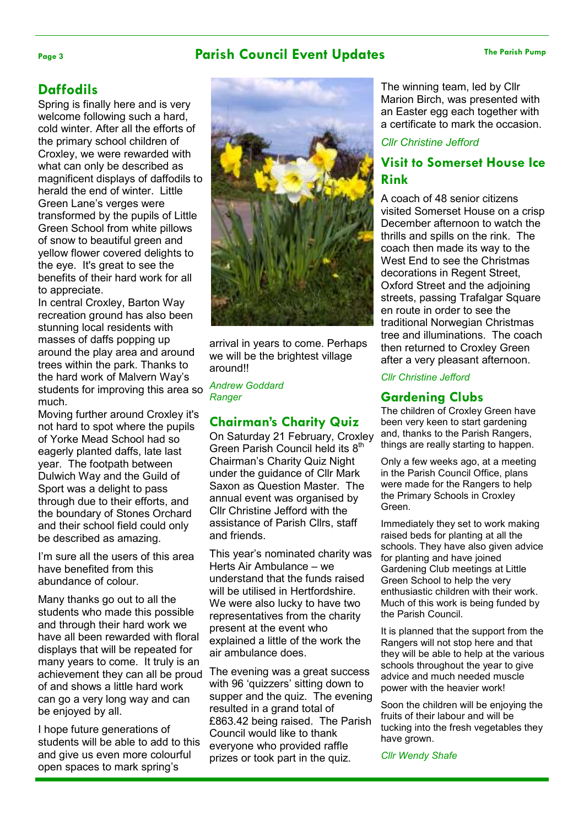### Page 3 The Parish Council Event Updates The Parish Pump

### **Daffodils**

Spring is finally here and is very welcome following such a hard, cold winter. After all the efforts of the primary school children of Croxley, we were rewarded with what can only be described as magnificent displays of daffodils to herald the end of winter. Little Green Lane's verges were transformed by the pupils of Little Green School from white pillows of snow to beautiful green and yellow flower covered delights to the eye. It's great to see the benefits of their hard work for all to appreciate.

In central Croxley, Barton Way recreation ground has also been stunning local residents with masses of daffs popping up around the play area and around trees within the park. Thanks to the hard work of Malvern Way's students for improving this area so much.

Moving further around Croxley it's not hard to spot where the pupils of Yorke Mead School had so eagerly planted daffs, late last year. The footpath between Dulwich Way and the Guild of Sport was a delight to pass through due to their efforts, and the boundary of Stones Orchard and their school field could only be described as amazing.

I'm sure all the users of this area have benefited from this abundance of colour.

Many thanks go out to all the students who made this possible and through their hard work we have all been rewarded with floral displays that will be repeated for many years to come. It truly is an achievement they can all be proud of and shows a little hard work can go a very long way and can be enjoyed by all.

I hope future generations of students will be able to add to this and give us even more colourful open spaces to mark spring's



arrival in years to come. Perhaps we will be the brightest village around!!

Andrew Goddard **Ranger** 

#### Chairman's Charity Quiz

On Saturday 21 February, Croxley Green Parish Council held its 8<sup>th</sup> Chairman's Charity Quiz Night under the guidance of Cllr Mark Saxon as Question Master. The annual event was organised by Cllr Christine Jefford with the assistance of Parish Cllrs, staff and friends.

This year's nominated charity was Herts Air Ambulance – we understand that the funds raised will be utilised in Hertfordshire. We were also lucky to have two representatives from the charity present at the event who explained a little of the work the air ambulance does.

The evening was a great success with 96 'quizzers' sitting down to supper and the quiz. The evening resulted in a grand total of £863.42 being raised. The Parish Council would like to thank everyone who provided raffle prizes or took part in the quiz.

The winning team, led by Cllr Marion Birch, was presented with an Easter egg each together with a certificate to mark the occasion.

#### Cllr Christine Jefford

### Visit to Somerset House Ice Rink

A coach of 48 senior citizens visited Somerset House on a crisp December afternoon to watch the thrills and spills on the rink. The coach then made its way to the West End to see the Christmas decorations in Regent Street, Oxford Street and the adjoining streets, passing Trafalgar Square en route in order to see the traditional Norwegian Christmas tree and illuminations. The coach then returned to Croxley Green after a very pleasant afternoon.

#### Cllr Christine Jefford

#### Gardening Clubs

The children of Croxley Green have been very keen to start gardening and, thanks to the Parish Rangers, things are really starting to happen.

Only a few weeks ago, at a meeting in the Parish Council Office, plans were made for the Rangers to help the Primary Schools in Croxley Green.

Immediately they set to work making raised beds for planting at all the schools. They have also given advice for planting and have joined Gardening Club meetings at Little Green School to help the very enthusiastic children with their work. Much of this work is being funded by the Parish Council.

It is planned that the support from the Rangers will not stop here and that they will be able to help at the various schools throughout the year to give advice and much needed muscle power with the heavier work!

Soon the children will be enjoying the fruits of their labour and will be tucking into the fresh vegetables they have grown.

Cllr Wendy Shafe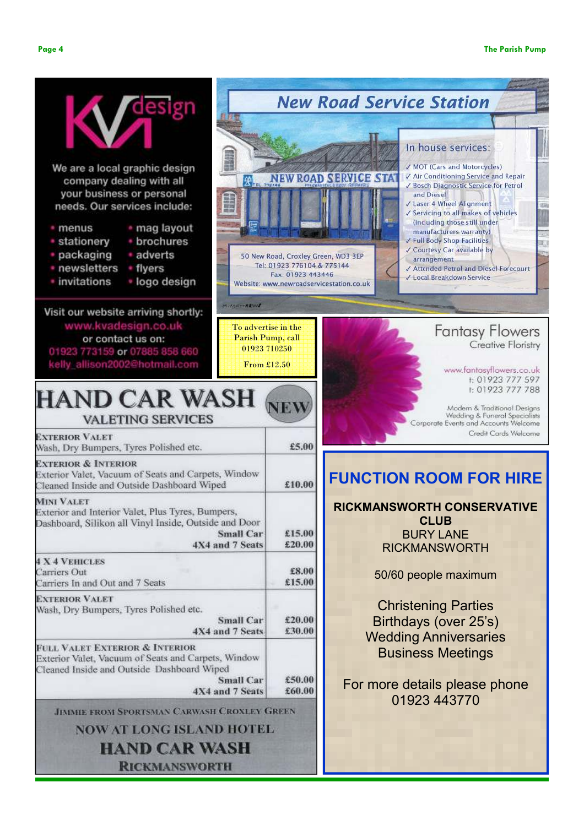Creative Floristry

www.fantasyflowers.co.uk t: 01923 777 597 t: 01923 777 788

Modern & Traditional Desians

Credit Cards Welcome



**RICKMANSWORTH**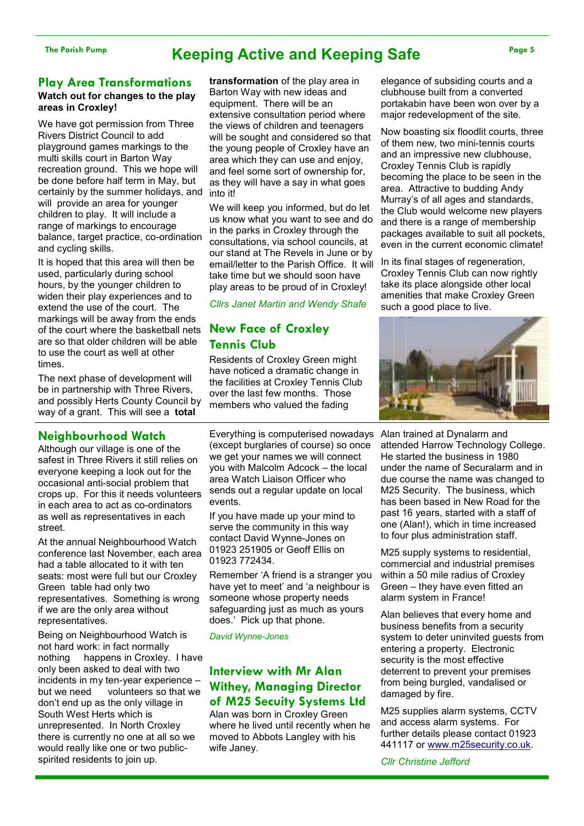#### Play Area Transformations Watch out for changes to the play areas in Croxley!

We have got permission from Three Rivers District Council to add playground games markings to the multi skills court in Barton Way recreation ground. This we hope will be done before half term in May, but certainly by the summer holidays, and will provide an area for younger children to play. It will include a range of markings to encourage balance, target practice, co-ordination and cycling skills.

It is hoped that this area will then be used, particularly during school hours, by the younger children to widen their play experiences and to extend the use of the court. The markings will be away from the ends of the court where the basketball nets are so that older children will be able to use the court as well at other times.

The next phase of development will be in partnership with Three Rivers, and possibly Herts County Council by way of a grant. This will see a total

#### Neighbourhood Watch

Although our village is one of the safest in Three Rivers it still relies on everyone keeping a look out for the occasional anti-social problem that crops up. For this it needs volunteers in each area to act as co-ordinators as well as representatives in each street.

At the annual Neighbourhood Watch conference last November, each area had a table allocated to it with ten seats: most were full but our Croxley Green table had only two representatives. Something is wrong if we are the only area without representatives.

Being on Neighbourhood Watch is not hard work: in fact normally nothing happens in Croxley. I have only been asked to deal with two incidents in my ten-year experience – but we need volunteers so that we don't end up as the only village in South West Herts which is unrepresented. In North Croxley there is currently no one at all so we would really like one or two publicspirited residents to join up.

transformation of the play area in Barton Way with new ideas and equipment. There will be an extensive consultation period where the views of children and teenagers will be sought and considered so that the young people of Croxley have an area which they can use and enjoy, and feel some sort of ownership for, as they will have a say in what goes into it!

We will keep you informed, but do let us know what you want to see and do in the parks in Croxley through the consultations, via school councils, at our stand at The Revels in June or by email/letter to the Parish Office. It will take time but we should soon have play areas to be proud of in Croxley!

Cllrs Janet Martin and Wendy Shafe

#### New Face of Croxley Tennis Club

Residents of Croxley Green might have noticed a dramatic change in the facilities at Croxley Tennis Club over the last few months. Those members who valued the fading

Everything is computerised nowadays Alan trained at Dynalarm and (except burglaries of course) so once we get your names we will connect you with Malcolm Adcock – the local area Watch Liaison Officer who sends out a regular update on local events.

If you have made up your mind to serve the community in this way contact David Wynne-Jones on 01923 251905 or Geoff Ellis on 01923 772434.

Remember 'A friend is a stranger you have yet to meet' and 'a neighbour is someone whose property needs safeguarding just as much as yours does.' Pick up that phone.

David Wynne-Jones

#### Interview with Mr Alan Withey, Managing Director of M25 Secuity Systems Ltd

Alan was born in Croxley Green where he lived until recently when he moved to Abbots Langley with his wife Janey.

elegance of subsiding courts and a clubhouse built from a converted portakabin have been won over by a major redevelopment of the site.

Now boasting six floodlit courts, three of them new, two mini-tennis courts and an impressive new clubhouse, Croxley Tennis Club is rapidly becoming the place to be seen in the area. Attractive to budding Andy Murray's of all ages and standards, the Club would welcome new players and there is a range of membership packages available to suit all pockets, even in the current economic climate!

In its final stages of regeneration, Croxley Tennis Club can now rightly take its place alongside other local amenities that make Croxley Green such a good place to live.



attended Harrow Technology College. He started the business in 1980 under the name of Securalarm and in due course the name was changed to M25 Security. The business, which has been based in New Road for the past 16 years, started with a staff of one (Alan!), which in time increased to four plus administration staff.

M25 supply systems to residential, commercial and industrial premises within a 50 mile radius of Croxley Green – they have even fitted an alarm system in France!

Alan believes that every home and business benefits from a security system to deter uninvited guests from entering a property. Electronic security is the most effective deterrent to prevent your premises from being burgled, vandalised or damaged by fire.

M25 supplies alarm systems, CCTV and access alarm systems. For further details please contact 01923 441117 or www.m25security.co.uk.

Cllr Christine Jefford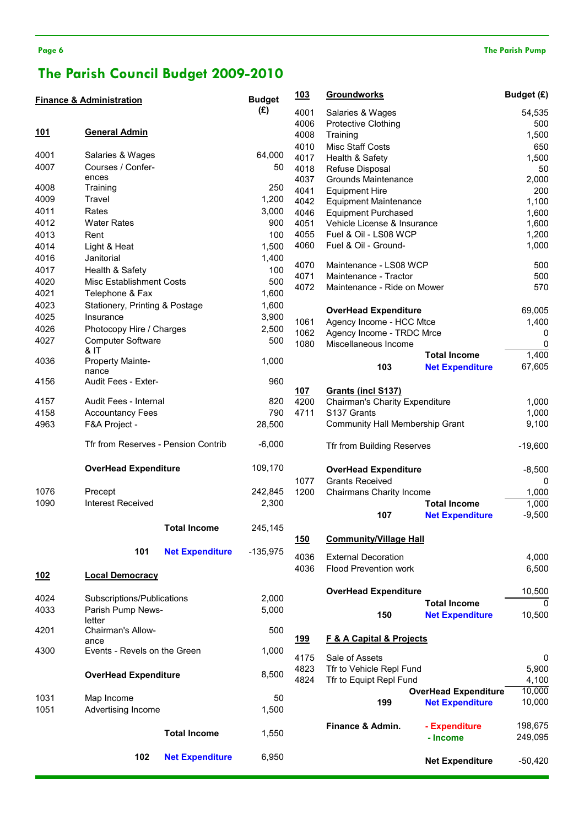# The Parish Council Budget 2009-2010

|            | <b>Finance &amp; Administration</b> |                        | <b>Budget</b> | <u> 103</u>  | <b>Groundworks</b>                                    |                             | Budget (£)     |
|------------|-------------------------------------|------------------------|---------------|--------------|-------------------------------------------------------|-----------------------------|----------------|
|            |                                     |                        | (E)           | 4001         | Salaries & Wages                                      |                             | 54,535         |
|            |                                     |                        |               | 4006         | <b>Protective Clothing</b>                            |                             | 500            |
| <u>101</u> | <b>General Admin</b>                |                        |               | 4008         | Training                                              |                             | 1,500          |
|            |                                     |                        |               | 4010         | <b>Misc Staff Costs</b>                               |                             | 650            |
| 4001       | Salaries & Wages                    |                        | 64,000        | 4017         | Health & Safety                                       |                             | 1,500          |
| 4007       | Courses / Confer-                   |                        | 50            | 4018         | Refuse Disposal                                       |                             | 50             |
|            | ences                               |                        |               | 4037         | Grounds Maintenance                                   |                             | 2,000          |
| 4008       | Training                            |                        | 250           | 4041         | <b>Equipment Hire</b>                                 |                             | 200            |
| 4009       | Travel                              |                        | 1,200         | 4042         | <b>Equipment Maintenance</b>                          |                             | 1,100          |
| 4011       | Rates                               |                        | 3,000         | 4046         | <b>Equipment Purchased</b>                            |                             | 1,600          |
| 4012       | <b>Water Rates</b>                  |                        | 900           | 4051         | Vehicle License & Insurance                           |                             | 1,600          |
| 4013       | Rent                                |                        | 100           | 4055         | Fuel & Oil - LS08 WCP                                 |                             | 1,200          |
| 4014       | Light & Heat                        |                        | 1,500         | 4060         | Fuel & Oil - Ground-                                  |                             | 1,000          |
| 4016       | Janitorial                          |                        | 1,400         | 4070         | Maintenance - LS08 WCP                                |                             | 500            |
| 4017       | Health & Safety                     |                        | 100           | 4071         | Maintenance - Tractor                                 |                             | 500            |
| 4020       | Misc Establishment Costs            |                        | 500           | 4072         | Maintenance - Ride on Mower                           |                             | 570            |
| 4021       | Telephone & Fax                     |                        | 1,600         |              |                                                       |                             |                |
| 4023       | Stationery, Printing & Postage      |                        | 1,600         |              | <b>OverHead Expenditure</b>                           |                             | 69,005         |
| 4025       | Insurance                           |                        | 3,900         | 1061         | Agency Income - HCC Mtce                              |                             | 1,400          |
| 4026       | Photocopy Hire / Charges            |                        | 2,500         | 1062         | Agency Income - TRDC Mrce                             |                             | 0              |
| 4027       | <b>Computer Software</b>            |                        | 500           | 1080         | Miscellaneous Income                                  |                             | 0              |
|            | & IT                                |                        |               |              |                                                       | <b>Total Income</b>         | 1,400          |
| 4036       | Property Mainte-                    |                        | 1,000         |              | 103                                                   | <b>Net Expenditure</b>      | 67,605         |
| 4156       | nance<br>Audit Fees - Exter-        |                        | 960           |              |                                                       |                             |                |
|            |                                     |                        |               | 107          | Grants (incl S137)                                    |                             |                |
| 4157       | Audit Fees - Internal               |                        | 820           | 4200         | Chairman's Charity Expenditure                        |                             | 1,000          |
| 4158       | <b>Accountancy Fees</b>             |                        | 790           | 4711         | S137 Grants                                           |                             | 1,000          |
| 4963       | F&A Project -                       |                        | 28,500        |              | Community Hall Membership Grant                       |                             | 9,100          |
|            | Tfr from Reserves - Pension Contrib |                        | $-6,000$      |              | Tfr from Building Reserves                            |                             | $-19,600$      |
|            | <b>OverHead Expenditure</b>         |                        | 109,170       |              |                                                       |                             |                |
|            |                                     |                        |               |              | <b>OverHead Expenditure</b><br><b>Grants Received</b> |                             | $-8,500$       |
| 1076       | Precept                             |                        | 242,845       | 1077<br>1200 | Chairmans Charity Income                              |                             | 0<br>1,000     |
| 1090       | <b>Interest Received</b>            |                        | 2,300         |              |                                                       | <b>Total Income</b>         | 1,000          |
|            |                                     |                        |               |              | 107                                                   | <b>Net Expenditure</b>      | $-9,500$       |
|            |                                     | <b>Total Income</b>    | 245,145       |              |                                                       |                             |                |
|            |                                     |                        |               | 150          | <b>Community/Village Hall</b>                         |                             |                |
|            | 101                                 | <b>Net Expenditure</b> | $-135,975$    |              |                                                       |                             |                |
|            |                                     |                        |               | 4036         | <b>External Decoration</b>                            |                             | 4,000          |
| 102        | <b>Local Democracy</b>              |                        |               | 4036         | <b>Flood Prevention work</b>                          |                             | 6,500          |
|            |                                     |                        |               |              |                                                       |                             |                |
| 4024       | Subscriptions/Publications          |                        | 2,000         |              | <b>OverHead Expenditure</b>                           |                             | 10,500         |
| 4033       | Parish Pump News-                   |                        | 5,000         |              |                                                       | <b>Total Income</b>         | $\mathbf{0}$   |
|            | letter                              |                        |               |              | 150                                                   | <b>Net Expenditure</b>      | 10,500         |
| 4201       | Chairman's Allow-                   |                        | 500           |              |                                                       |                             |                |
|            | ance                                |                        |               | <u>199</u>   | <b>F &amp; A Capital &amp; Projects</b>               |                             |                |
| 4300       | Events - Revels on the Green        |                        | 1,000         |              |                                                       |                             |                |
|            |                                     |                        |               | 4175         | Sale of Assets                                        |                             | 0              |
|            | <b>OverHead Expenditure</b>         |                        | 8,500         | 4823<br>4824 | Tfr to Vehicle Repl Fund<br>Tfr to Equipt Repl Fund   |                             | 5,900<br>4,100 |
|            |                                     |                        |               |              |                                                       | <b>OverHead Expenditure</b> | 10,000         |
| 1031       | Map Income                          |                        | 50            |              | 199                                                   | <b>Net Expenditure</b>      | 10,000         |
| 1051       | Advertising Income                  |                        | 1,500         |              |                                                       |                             |                |
|            |                                     |                        |               |              | Finance & Admin.                                      | - Expenditure               | 198,675        |
|            |                                     | <b>Total Income</b>    | 1,550         |              |                                                       | - Income                    | 249,095        |
|            |                                     |                        |               |              |                                                       |                             |                |
|            | 102                                 | <b>Net Expenditure</b> | 6,950         |              |                                                       | <b>Net Expenditure</b>      | $-50,420$      |
|            |                                     |                        |               |              |                                                       |                             |                |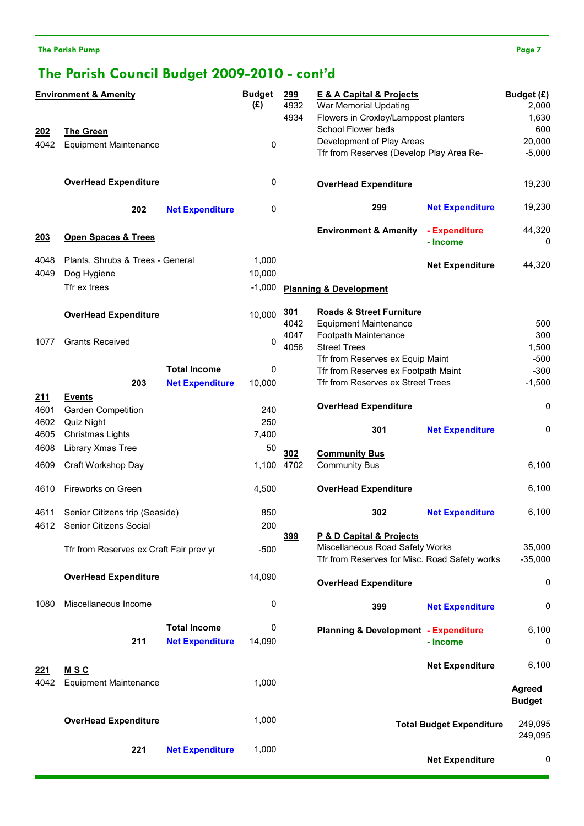The Parish Pump Page 7

# The Parish Council Budget 2009-2010 - cont'd

| <b>Environment &amp; Amenity</b> |                                         | <b>Budget</b><br>(E)   | 299<br>4932<br>4934 | <b>E &amp; A Capital &amp; Projects</b><br>War Memorial Updating<br>Flowers in Croxley/Lamppost planters | Budget (£)<br>2,000<br>1,630                                                     |                                 |                                |
|----------------------------------|-----------------------------------------|------------------------|---------------------|----------------------------------------------------------------------------------------------------------|----------------------------------------------------------------------------------|---------------------------------|--------------------------------|
| <u> 202</u>                      | <b>The Green</b>                        |                        |                     |                                                                                                          | School Flower beds                                                               |                                 | 600                            |
| 4042                             | <b>Equipment Maintenance</b>            |                        | 0                   |                                                                                                          | Development of Play Areas                                                        |                                 | 20,000                         |
|                                  |                                         |                        |                     |                                                                                                          | Tfr from Reserves (Develop Play Area Re-                                         |                                 | $-5,000$                       |
|                                  | <b>OverHead Expenditure</b>             |                        | 0                   |                                                                                                          | <b>OverHead Expenditure</b>                                                      |                                 | 19,230                         |
|                                  | 202                                     | <b>Net Expenditure</b> | 0                   |                                                                                                          | 299                                                                              | <b>Net Expenditure</b>          | 19,230                         |
| 203                              | <b>Open Spaces &amp; Trees</b>          |                        |                     |                                                                                                          | <b>Environment &amp; Amenity</b>                                                 | - Expenditure<br>- Income       | 44,320<br>0                    |
| 4048                             | Plants. Shrubs & Trees - General        |                        | 1,000               |                                                                                                          |                                                                                  | <b>Net Expenditure</b>          | 44,320                         |
| 4049                             | Dog Hygiene                             |                        | 10,000              |                                                                                                          |                                                                                  |                                 |                                |
|                                  | Tfr ex trees                            |                        | $-1,000$            |                                                                                                          | <b>Planning &amp; Development</b>                                                |                                 |                                |
|                                  | <b>OverHead Expenditure</b>             |                        | 10,000              | <u>301</u>                                                                                               | <b>Roads &amp; Street Furniture</b>                                              |                                 |                                |
|                                  |                                         |                        |                     | 4042                                                                                                     | <b>Equipment Maintenance</b>                                                     |                                 | 500                            |
| 1077                             | <b>Grants Received</b>                  |                        | 0                   | 4047                                                                                                     | Footpath Maintenance                                                             |                                 | 300                            |
|                                  |                                         |                        |                     | 4056                                                                                                     | <b>Street Trees</b>                                                              |                                 | 1,500                          |
|                                  |                                         | <b>Total Income</b>    | 0                   |                                                                                                          | Tfr from Reserves ex Equip Maint<br>Tfr from Reserves ex Footpath Maint          |                                 | $-500$<br>$-300$               |
|                                  | 203                                     | <b>Net Expenditure</b> | 10,000              |                                                                                                          | Tfr from Reserves ex Street Trees                                                |                                 | $-1,500$                       |
|                                  |                                         |                        |                     |                                                                                                          |                                                                                  |                                 |                                |
| 211                              | <b>Events</b>                           |                        | 240                 |                                                                                                          | <b>OverHead Expenditure</b>                                                      |                                 | 0                              |
| 4601<br>4602                     | <b>Garden Competition</b><br>Quiz Night |                        | 250                 |                                                                                                          |                                                                                  |                                 |                                |
| 4605                             | Christmas Lights                        |                        | 7,400               |                                                                                                          | 301                                                                              | <b>Net Expenditure</b>          | 0                              |
| 4608                             | Library Xmas Tree                       |                        | 50                  |                                                                                                          |                                                                                  |                                 |                                |
|                                  |                                         |                        |                     | 30 <sub>2</sub>                                                                                          | <b>Community Bus</b>                                                             |                                 |                                |
| 4609                             | Craft Workshop Day                      |                        | 1,100 4702          |                                                                                                          | <b>Community Bus</b>                                                             |                                 | 6,100                          |
| 4610                             | Fireworks on Green                      |                        | 4,500               |                                                                                                          | <b>OverHead Expenditure</b>                                                      |                                 | 6,100                          |
| 4611                             | Senior Citizens trip (Seaside)          |                        | 850                 |                                                                                                          | 302                                                                              | <b>Net Expenditure</b>          | 6,100                          |
|                                  | 4612 Senior Citizens Social             |                        | 200                 |                                                                                                          |                                                                                  |                                 |                                |
|                                  |                                         |                        |                     | 399                                                                                                      | P & D Capital & Projects                                                         |                                 |                                |
|                                  | Tfr from Reserves ex Craft Fair prev yr |                        | $-500$              |                                                                                                          | Miscellaneous Road Safety Works<br>Tfr from Reserves for Misc. Road Safety works |                                 | 35,000<br>$-35,000$            |
|                                  | <b>OverHead Expenditure</b>             |                        | 14,090              |                                                                                                          | <b>OverHead Expenditure</b>                                                      |                                 | 0                              |
| 1080                             | Miscellaneous Income                    |                        | 0                   |                                                                                                          | 399                                                                              | <b>Net Expenditure</b>          | 0                              |
|                                  |                                         |                        | 0                   |                                                                                                          |                                                                                  |                                 |                                |
|                                  |                                         | <b>Total Income</b>    |                     |                                                                                                          | <b>Planning &amp; Development - Expenditure</b>                                  |                                 | 6,100                          |
|                                  | 211                                     | <b>Net Expenditure</b> | 14,090              |                                                                                                          |                                                                                  | - Income                        | 0                              |
| <u>221</u>                       | <b>MSC</b>                              |                        |                     |                                                                                                          |                                                                                  | <b>Net Expenditure</b>          | 6,100                          |
| 4042                             | <b>Equipment Maintenance</b>            |                        | 1,000               |                                                                                                          |                                                                                  |                                 | <b>Agreed</b><br><b>Budget</b> |
|                                  | <b>OverHead Expenditure</b>             |                        | 1,000               |                                                                                                          |                                                                                  | <b>Total Budget Expenditure</b> | 249,095<br>249,095             |
|                                  | 221                                     | <b>Net Expenditure</b> | 1,000               |                                                                                                          |                                                                                  | <b>Net Expenditure</b>          | 0                              |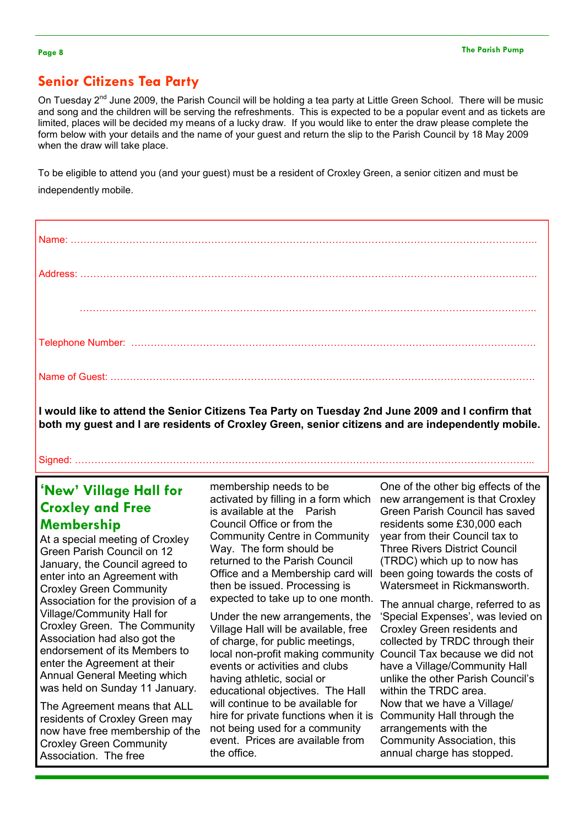## Senior Citizens Tea Party

On Tuesday 2<sup>nd</sup> June 2009, the Parish Council will be holding a tea party at Little Green School. There will be music and song and the children will be serving the refreshments. This is expected to be a popular event and as tickets are limited, places will be decided my means of a lucky draw. If you would like to enter the draw please complete the form below with your details and the name of your guest and return the slip to the Parish Council by 18 May 2009 when the draw will take place.

To be eligible to attend you (and your guest) must be a resident of Croxley Green, a senior citizen and must be independently mobile.

I would like to attend the Senior Citizens Tea Party on Tuesday 2nd June 2009 and I confirm that both my guest and I are residents of Croxley Green, senior citizens and are independently mobile.

Signed: …………………………………………………………………………………………………………………………...

## 'New' Village Hall for Croxley and Free Membership

At a special meeting of Croxley Green Parish Council on 12 January, the Council agreed to enter into an Agreement with Croxley Green Community Association for the provision of a Village/Community Hall for Croxley Green. The Community Association had also got the endorsement of its Members to enter the Agreement at their Annual General Meeting which was held on Sunday 11 January.

The Agreement means that ALL residents of Croxley Green may now have free membership of the Croxley Green Community Association. The free

membership needs to be activated by filling in a form which is available at the Parish Council Office or from the Community Centre in Community Way. The form should be returned to the Parish Council Office and a Membership card will then be issued. Processing is expected to take up to one month.

Under the new arrangements, the Village Hall will be available, free of charge, for public meetings, local non-profit making community events or activities and clubs having athletic, social or educational objectives. The Hall will continue to be available for hire for private functions when it is not being used for a community event. Prices are available from the office.

One of the other big effects of the new arrangement is that Croxley Green Parish Council has saved residents some £30,000 each year from their Council tax to Three Rivers District Council (TRDC) which up to now has been going towards the costs of Watersmeet in Rickmansworth.

The annual charge, referred to as 'Special Expenses', was levied on Croxley Green residents and collected by TRDC through their Council Tax because we did not have a Village/Community Hall unlike the other Parish Council's within the TRDC area. Now that we have a Village/ Community Hall through the arrangements with the Community Association, this annual charge has stopped.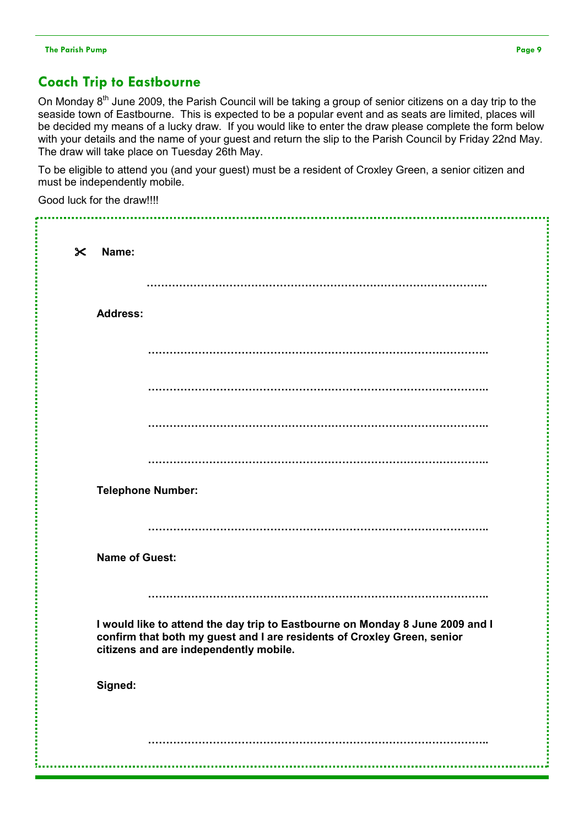## Coach Trip to Eastbourne

On Monday  $8<sup>th</sup>$  June 2009, the Parish Council will be taking a group of senior citizens on a day trip to the seaside town of Eastbourne. This is expected to be a popular event and as seats are limited, places will be decided my means of a lucky draw. If you would like to enter the draw please complete the form below with your details and the name of your guest and return the slip to the Parish Council by Friday 22nd May. The draw will take place on Tuesday 26th May.

To be eligible to attend you (and your guest) must be a resident of Croxley Green, a senior citizen and must be independently mobile.

Good luck for the draw!!!!

| $\boldsymbol{\times}$<br>Name: |                                                                                                                                                                                                    |
|--------------------------------|----------------------------------------------------------------------------------------------------------------------------------------------------------------------------------------------------|
|                                |                                                                                                                                                                                                    |
| <b>Address:</b>                |                                                                                                                                                                                                    |
|                                |                                                                                                                                                                                                    |
|                                |                                                                                                                                                                                                    |
|                                |                                                                                                                                                                                                    |
|                                |                                                                                                                                                                                                    |
|                                | <b>Telephone Number:</b>                                                                                                                                                                           |
|                                |                                                                                                                                                                                                    |
|                                | <b>Name of Guest:</b>                                                                                                                                                                              |
|                                |                                                                                                                                                                                                    |
|                                | I would like to attend the day trip to Eastbourne on Monday 8 June 2009 and I<br>confirm that both my guest and I are residents of Croxley Green, senior<br>citizens and are independently mobile. |
| Signed:                        |                                                                                                                                                                                                    |
|                                |                                                                                                                                                                                                    |
|                                |                                                                                                                                                                                                    |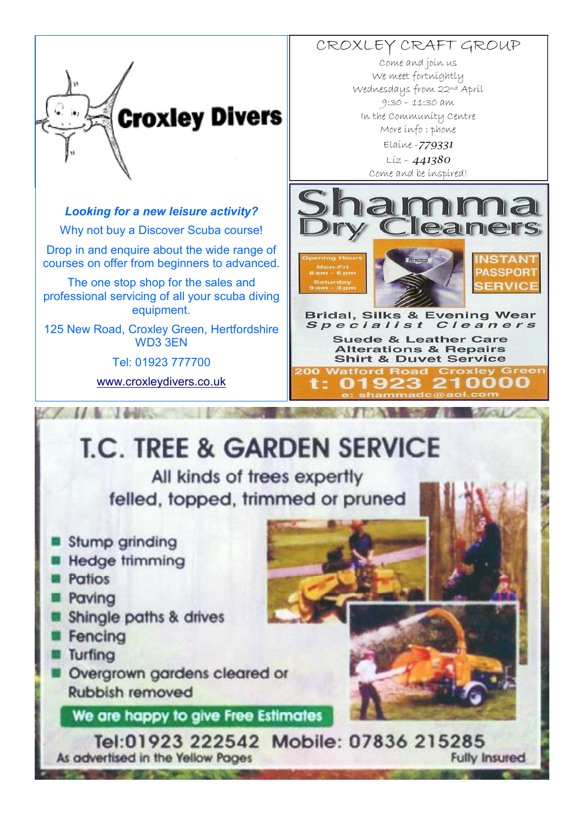

#### Looking for a new leisure activity?

Why not buy a Discover Scuba course!

Drop in and enquire about the wide range of courses on offer from beginners to advanced.

The one stop shop for the sales and professional servicing of all your scuba diving equipment.

125 New Road, Croxley Green, Hertfordshire WD3 3EN

Tel: 01923 777700

www.croxleydivers.co.uk

CROXLEY CRAFT GROUP Come and join us We meet fortnightly Wednesdays from 22nd April 9:30 – 11:30 am In the Community Centre More info : phone Elaine -779331  $Liz - 441380$ Come and be inspired!



**Bridal, Silks & Evening Wear** Specialist Cleaners **Suede & Leather Care Alterations & Repairs Shirt & Duvet Service 200 Watford Road Croxley**  $\bullet$ 

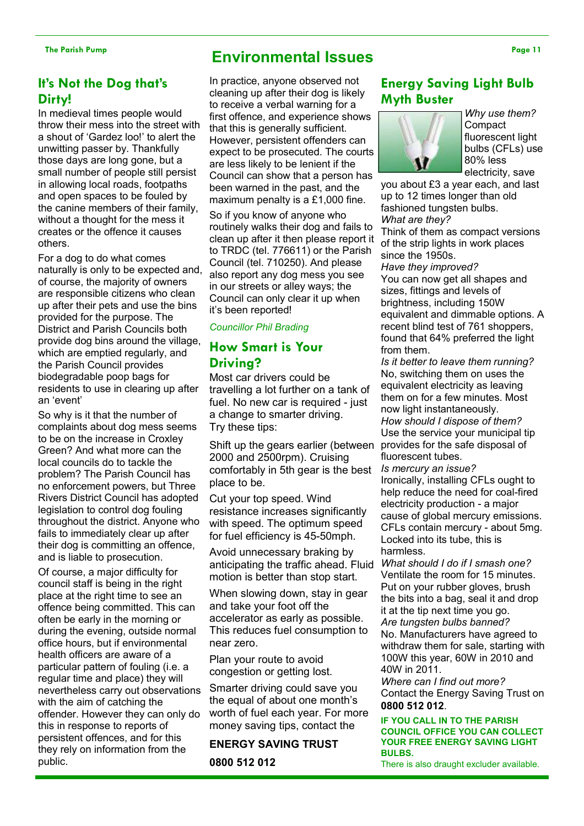#### It's Not the Dog that's Dirty!

In medieval times people would throw their mess into the street with a shout of 'Gardez loo!' to alert the unwitting passer by. Thankfully those days are long gone, but a small number of people still persist in allowing local roads, footpaths and open spaces to be fouled by the canine members of their family, without a thought for the mess it creates or the offence it causes others.

For a dog to do what comes naturally is only to be expected and, of course, the majority of owners are responsible citizens who clean up after their pets and use the bins provided for the purpose. The District and Parish Councils both provide dog bins around the village, which are emptied regularly, and the Parish Council provides biodegradable poop bags for residents to use in clearing up after an 'event'

So why is it that the number of complaints about dog mess seems to be on the increase in Croxley Green? And what more can the local councils do to tackle the problem? The Parish Council has no enforcement powers, but Three Rivers District Council has adopted legislation to control dog fouling throughout the district. Anyone who fails to immediately clear up after their dog is committing an offence, and is liable to prosecution.

Of course, a major difficulty for council staff is being in the right place at the right time to see an offence being committed. This can often be early in the morning or during the evening, outside normal office hours, but if environmental health officers are aware of a particular pattern of fouling (i.e. a regular time and place) they will nevertheless carry out observations with the aim of catching the offender. However they can only do this in response to reports of persistent offences, and for this they rely on information from the public.

# The Parish Pump Page 11

In practice, anyone observed not cleaning up after their dog is likely to receive a verbal warning for a first offence, and experience shows that this is generally sufficient. However, persistent offenders can expect to be prosecuted. The courts are less likely to be lenient if the Council can show that a person has been warned in the past, and the maximum penalty is a £1,000 fine.

So if you know of anyone who routinely walks their dog and fails to clean up after it then please report it to TRDC (tel. 776611) or the Parish Council (tel. 710250). And please also report any dog mess you see in our streets or alley ways; the Council can only clear it up when it's been reported!

#### Councillor Phil Brading

#### How Smart is Your Driving?

Most car drivers could be travelling a lot further on a tank of fuel. No new car is required - just a change to smarter driving. Try these tips:

Shift up the gears earlier (between 2000 and 2500rpm). Cruising comfortably in 5th gear is the best place to be.

Cut your top speed. Wind resistance increases significantly with speed. The optimum speed for fuel efficiency is 45-50mph.

Avoid unnecessary braking by anticipating the traffic ahead. Fluid motion is better than stop start.

When slowing down, stay in gear and take your foot off the accelerator as early as possible. This reduces fuel consumption to near zero.

Plan your route to avoid congestion or getting lost.

Smarter driving could save you the equal of about one month's worth of fuel each year. For more money saving tips, contact the

#### ENERGY SAVING TRUST

0800 512 012

### Energy Saving Light Bulb Myth Buster



Why use them? **Compact** fluorescent light bulbs (CFLs) use 80% less electricity, save

you about £3 a year each, and last up to 12 times longer than old fashioned tungsten bulbs. What are they?

Think of them as compact versions of the strip lights in work places since the 1950s.

Have they improved? You can now get all shapes and sizes, fittings and levels of brightness, including 150W equivalent and dimmable options. A recent blind test of 761 shoppers, found that 64% preferred the light from them.

Is it better to leave them running? No, switching them on uses the equivalent electricity as leaving them on for a few minutes. Most now light instantaneously. How should I dispose of them? Use the service your municipal tip provides for the safe disposal of fluorescent tubes.

Is mercury an issue? Ironically, installing CFLs ought to help reduce the need for coal-fired electricity production - a major cause of global mercury emissions. CFLs contain mercury - about 5mg. Locked into its tube, this is harmless.

What should I do if I smash one? Ventilate the room for 15 minutes. Put on your rubber gloves, brush the bits into a bag, seal it and drop it at the tip next time you go. Are tungsten bulbs banned? No. Manufacturers have agreed to withdraw them for sale, starting with 100W this year, 60W in 2010 and 40W in 2011.

Where can I find out more? Contact the Energy Saving Trust on 0800 512 012.

#### IF YOU CALL IN TO THE PARISH COUNCIL OFFICE YOU CAN COLLECT YOUR FREE ENERGY SAVING LIGHT BULBS.

There is also draught excluder available.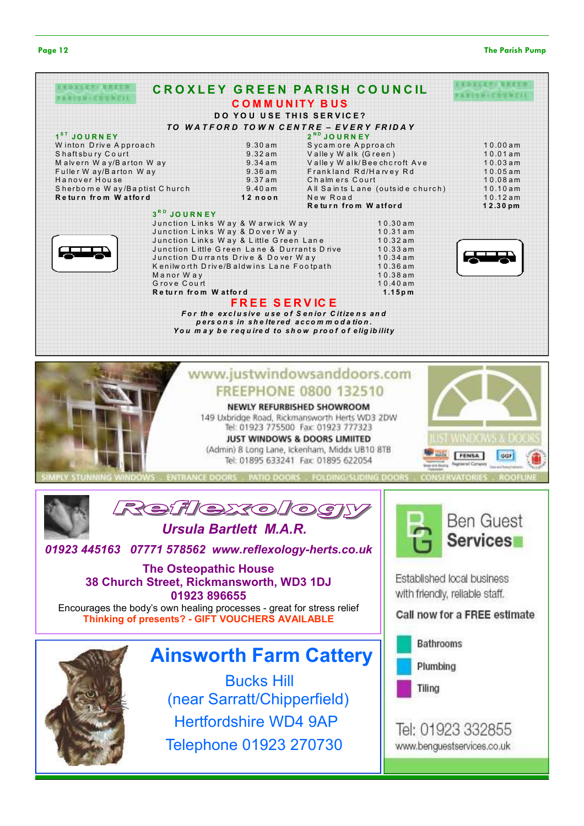#### Page 12 The Parish Pump



|                              |                                             |                                        | <b>CROXLEY GREEN PARISH COUNCIL</b>              |                                  |            |
|------------------------------|---------------------------------------------|----------------------------------------|--------------------------------------------------|----------------------------------|------------|
|                              |                                             | <b>COMMUNITY BUS</b>                   |                                                  |                                  |            |
|                              |                                             |                                        | <b>DO YOU USE THIS SERVICE?</b>                  |                                  |            |
|                              |                                             |                                        |                                                  |                                  |            |
|                              |                                             |                                        | TO WATFORD TOWN CENTRE - EVERY FRIDAY            |                                  |            |
| 1 <sup>ST</sup> JOURNEY      |                                             |                                        | 2 <sup>ND</sup> JOURNEY                          |                                  |            |
| Winton Drive Approach        |                                             | 9.30am                                 | Sycam ore Approach                               |                                  | 10.00am    |
| Shaftsbury Court             |                                             | 9.32am                                 | Valley Walk (Green)                              |                                  | 10.01am    |
| Malvern Way/Barton Way       |                                             | $9.34$ am                              | Valley Walk/Beechcroft Ave                       |                                  | 10.03am    |
| Fuller W ay/B arton Way      |                                             | 9.36am                                 | Frankland Rd/Harvey Rd                           |                                  | $10.05$ am |
| Hanover House                |                                             | $9.37$ am                              | Chalmers Court                                   |                                  | 10.08am    |
| Sherborne Way/Baptist Church |                                             | 9.40am                                 |                                                  | All Saints Lane (outside church) | 10.10am    |
| Return from Watford          |                                             | 12noon                                 | New Road                                         |                                  | 10.12am    |
|                              |                                             |                                        | Return from Watford                              |                                  | 12.30pm    |
|                              | 3RD JOURNEY                                 |                                        |                                                  |                                  |            |
|                              | Junction Links Way & Warwick Way            |                                        |                                                  | 10.30am                          |            |
|                              | Junction Links Way & Dover Way              |                                        |                                                  | $10.31$ am                       |            |
|                              |                                             | Junction Links Way & Little Green Lane |                                                  | $10.32$ am                       |            |
|                              | Junction Little Green Lane & Durrants Drive |                                        |                                                  | 10.33am                          |            |
|                              | Junction Durrants Drive & Dover Way         |                                        |                                                  | $10.34$ am                       |            |
|                              | Kenilworth Drive/Baldwins Lane Footpath     |                                        |                                                  | 10.36am                          |            |
|                              | Manor Way                                   |                                        |                                                  | 10.38am                          |            |
|                              | Grove Court                                 |                                        |                                                  | 10.40am                          |            |
|                              | Return from Watford                         |                                        |                                                  | $1.15p$ m                        |            |
|                              |                                             | <b>FREE SERVICE</b>                    |                                                  |                                  |            |
|                              |                                             |                                        | For the exclusive use of Senior Citizens and     |                                  |            |
|                              |                                             |                                        | persons in sheltered accommodation.              |                                  |            |
|                              |                                             |                                        | You may be required to show proof of eligibility |                                  |            |
|                              |                                             |                                        |                                                  |                                  |            |



NEWLY REFURBISHED SHOWROOM 149 Uxbridge Road, Rickmansworth Herts WD3 2DW Tel: 01923 775500 Fax: 01923 777323 JUST WINDOWS & DOORS LIMIITED (Admin) 8 Long Lane, Ickenham, Middx UB10 8TB

Tel: 01895 633241 Fax: 01895 622054







Ursula Bartlett M.A.R.

01923 445163 07771 578562 www.reflexology-herts.co.uk

The Osteopathic House 38 Church Street, Rickmansworth, WD3 1DJ 01923 896655 Encourages the body's own healing processes - great for stress relief Thinking of presents? - GIFT VOUCHERS AVAILABLE

# Ainsworth Farm Cattery

Bucks Hill (near Sarratt/Chipperfield) Hertfordshire WD4 9AP Telephone 01923 270730



**WINDOWS &** 

GGF

FENSA

Established local business with friendly, reliable staff.

Call now for a FREE estimate

**Bathrooms** 

Plumbing

Tiling

Tel: 01923 332855 www.benguestservices.co.uk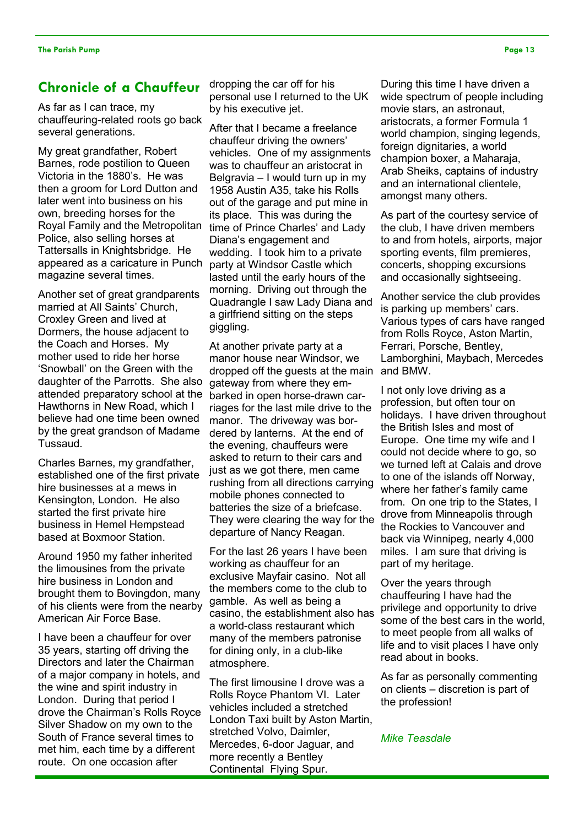#### Chronicle of a Chauffeur

As far as I can trace, my chauffeuring-related roots go back several generations.

My great grandfather, Robert Barnes, rode postilion to Queen Victoria in the 1880's. He was then a groom for Lord Dutton and later went into business on his own, breeding horses for the Royal Family and the Metropolitan Police, also selling horses at Tattersalls in Knightsbridge. He appeared as a caricature in Punch magazine several times.

Another set of great grandparents married at All Saints' Church, Croxley Green and lived at Dormers, the house adjacent to the Coach and Horses. My mother used to ride her horse 'Snowball' on the Green with the daughter of the Parrotts. She also attended preparatory school at the Hawthorns in New Road, which I believe had one time been owned by the great grandson of Madame Tussaud.

Charles Barnes, my grandfather, established one of the first private hire businesses at a mews in Kensington, London. He also started the first private hire business in Hemel Hempstead based at Boxmoor Station.

Around 1950 my father inherited the limousines from the private hire business in London and brought them to Bovingdon, many of his clients were from the nearby American Air Force Base.

I have been a chauffeur for over 35 years, starting off driving the Directors and later the Chairman of a major company in hotels, and the wine and spirit industry in London. During that period I drove the Chairman's Rolls Royce Silver Shadow on my own to the South of France several times to met him, each time by a different route. On one occasion after

dropping the car off for his personal use I returned to the UK by his executive jet.

After that I became a freelance chauffeur driving the owners' vehicles. One of my assignments was to chauffeur an aristocrat in Belgravia – I would turn up in my 1958 Austin A35, take his Rolls out of the garage and put mine in its place. This was during the time of Prince Charles' and Lady Diana's engagement and wedding. I took him to a private party at Windsor Castle which lasted until the early hours of the morning. Driving out through the Quadrangle I saw Lady Diana and a girlfriend sitting on the steps giggling.

At another private party at a manor house near Windsor, we dropped off the guests at the main gateway from where they embarked in open horse-drawn carriages for the last mile drive to the manor. The driveway was bordered by lanterns. At the end of the evening, chauffeurs were asked to return to their cars and just as we got there, men came rushing from all directions carrying mobile phones connected to batteries the size of a briefcase. They were clearing the way for the departure of Nancy Reagan.

For the last 26 years I have been working as chauffeur for an exclusive Mayfair casino. Not all the members come to the club to gamble. As well as being a casino, the establishment also has a world-class restaurant which many of the members patronise for dining only, in a club-like atmosphere.

The first limousine I drove was a Rolls Royce Phantom VI. Later vehicles included a stretched London Taxi built by Aston Martin, stretched Volvo, Daimler, Mercedes, 6-door Jaguar, and more recently a Bentley Continental Flying Spur.

During this time I have driven a wide spectrum of people including movie stars, an astronaut, aristocrats, a former Formula 1 world champion, singing legends, foreign dignitaries, a world champion boxer, a Maharaja, Arab Sheiks, captains of industry and an international clientele, amongst many others.

As part of the courtesy service of the club, I have driven members to and from hotels, airports, major sporting events, film premieres, concerts, shopping excursions and occasionally sightseeing.

Another service the club provides is parking up members' cars. Various types of cars have ranged from Rolls Royce, Aston Martin, Ferrari, Porsche, Bentley, Lamborghini, Maybach, Mercedes and BMW.

I not only love driving as a profession, but often tour on holidays. I have driven throughout the British Isles and most of Europe. One time my wife and I could not decide where to go, so we turned left at Calais and drove to one of the islands off Norway, where her father's family came from. On one trip to the States, I drove from Minneapolis through the Rockies to Vancouver and back via Winnipeg, nearly 4,000 miles. I am sure that driving is part of my heritage.

Over the years through chauffeuring I have had the privilege and opportunity to drive some of the best cars in the world, to meet people from all walks of life and to visit places I have only read about in books.

As far as personally commenting on clients – discretion is part of the profession!

#### Mike Teasdale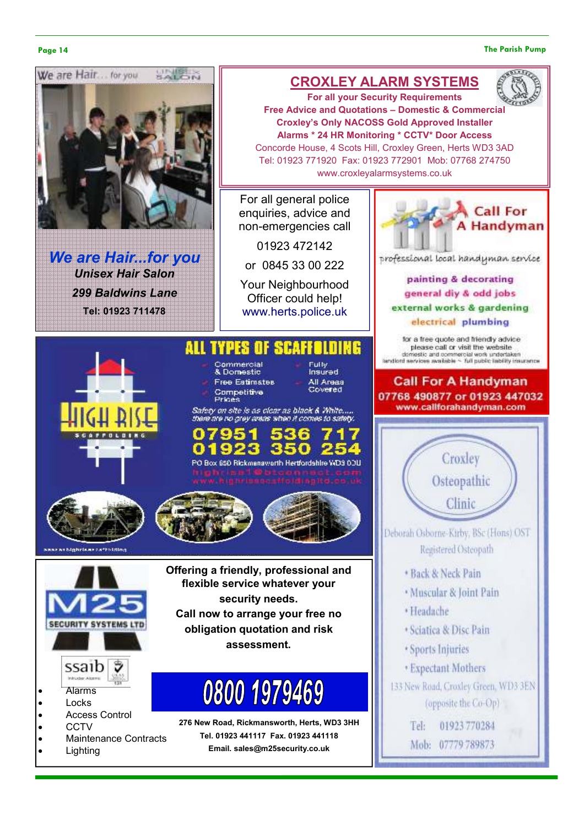#### Page 14 The Parish Pump



We are Hair...for you Unisex Hair Salon 299 Baldwins Lane Tel: 01923 711478

## CROXLEY ALARM SYSTEMS



For all general police enquiries, advice and non-emergencies call

01923 472142

or 0845 33 00 222

Your Neighbourhood Officer could help! www.herts.police.uk

#### ALL TYPES OF SCAFFOLDING

Commercial & Domestic **Free Estimates** Competitive<br>Prices

**Fulbe** .....<br>Insured All Areas Covered

Safety on site is as clear as black & White.... there are no grey areas when it comes to safety.

PO Box 650 Rickmanaworth Hertfordshire WD3 0DU





**Mobrishers/Folding** 



- Alarms
- **Locks** • Access Control
- CCTV
- Maintenance Contracts
- **Lighting**

Offering a friendly, professional and flexible service whatever your security needs. Call now to arrange your free no obligation quotation and risk assessment.

# 0800 1979469

276 New Road, Rickmansworth, Herts, WD3 3HH Tel. 01923 441117 Fax. 01923 441118 Email. sales@m25security.co.uk



professional local handyman service

painting & decorating general diy & odd jobs external works & gardening electrical plumbing

for a free quote and friendly advice please call or visit the website domestic and commercial work undertaken<br>landlord services available ~ full public lability insurance

#### **Call For A Handyman** 07768 490877 or 01923 447032 www.callforahandyman.com

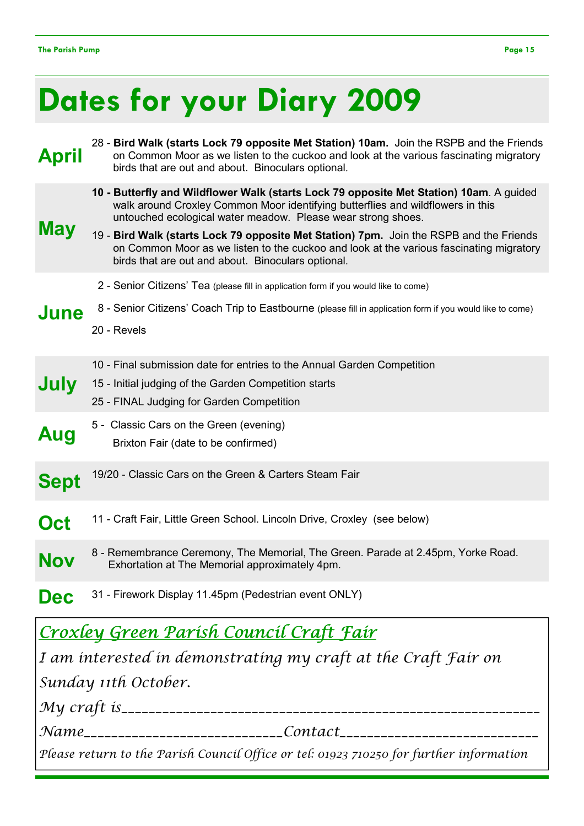# Dates for your Diary 2009

| <b>April</b> | 28 - Bird Walk (starts Lock 79 opposite Met Station) 10am. Join the RSPB and the Friends<br>on Common Moor as we listen to the cuckoo and look at the various fascinating migratory<br>birds that are out and about. Binoculars optional.                                                                                                                                                                                                                                              |
|--------------|----------------------------------------------------------------------------------------------------------------------------------------------------------------------------------------------------------------------------------------------------------------------------------------------------------------------------------------------------------------------------------------------------------------------------------------------------------------------------------------|
| May          | 10 - Butterfly and Wildflower Walk (starts Lock 79 opposite Met Station) 10am. A guided<br>walk around Croxley Common Moor identifying butterflies and wildflowers in this<br>untouched ecological water meadow. Please wear strong shoes.<br>19 - Bird Walk (starts Lock 79 opposite Met Station) 7pm. Join the RSPB and the Friends<br>on Common Moor as we listen to the cuckoo and look at the various fascinating migratory<br>birds that are out and about. Binoculars optional. |
| June         | 2 - Senior Citizens' Tea (please fill in application form if you would like to come)<br>8 - Senior Citizens' Coach Trip to Eastbourne (please fill in application form if you would like to come)<br>20 - Revels                                                                                                                                                                                                                                                                       |
| July         | 10 - Final submission date for entries to the Annual Garden Competition<br>15 - Initial judging of the Garden Competition starts<br>25 - FINAL Judging for Garden Competition                                                                                                                                                                                                                                                                                                          |
| Aug          | 5 - Classic Cars on the Green (evening)<br>Brixton Fair (date to be confirmed)                                                                                                                                                                                                                                                                                                                                                                                                         |
| <b>Sept</b>  | 19/20 - Classic Cars on the Green & Carters Steam Fair                                                                                                                                                                                                                                                                                                                                                                                                                                 |
| Oct          | 11 - Craft Fair, Little Green School. Lincoln Drive, Croxley (see below)                                                                                                                                                                                                                                                                                                                                                                                                               |
| <b>Nov</b>   | 8 - Remembrance Ceremony, The Memorial, The Green. Parade at 2.45pm, Yorke Road.<br>Exhortation at The Memorial approximately 4pm.                                                                                                                                                                                                                                                                                                                                                     |
| Dec          | 31 - Firework Display 11.45pm (Pedestrian event ONLY)                                                                                                                                                                                                                                                                                                                                                                                                                                  |
|              | <u>Croxley Green Parish Council Craft Fair</u>                                                                                                                                                                                                                                                                                                                                                                                                                                         |
|              | I am interested in demonstrating my craft at the Craft Fair on                                                                                                                                                                                                                                                                                                                                                                                                                         |
|              | Sunday 11th October.                                                                                                                                                                                                                                                                                                                                                                                                                                                                   |
|              |                                                                                                                                                                                                                                                                                                                                                                                                                                                                                        |
|              | Name____________________________Contact______________________________                                                                                                                                                                                                                                                                                                                                                                                                                  |
|              | Please return to the Parish Council Office or tel: 01923 710250 for further information                                                                                                                                                                                                                                                                                                                                                                                                |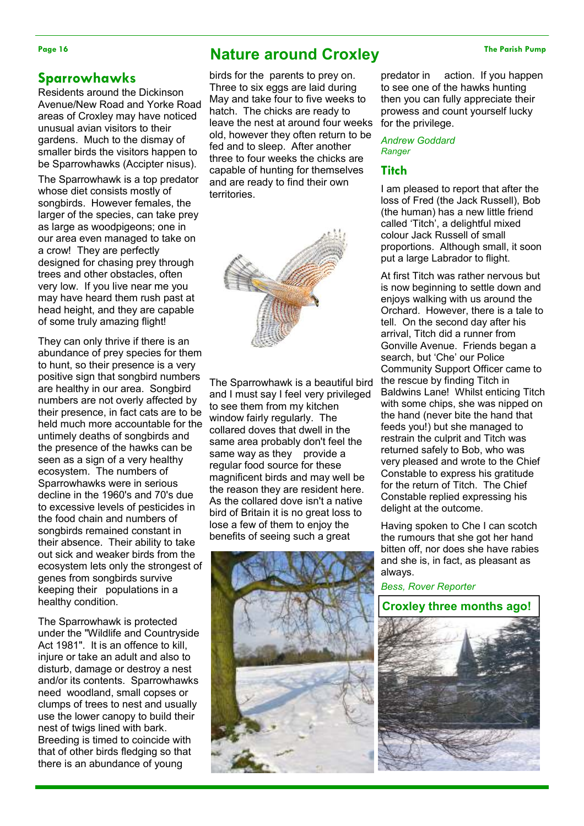### Sparrowhawks

Residents around the Dickinson Avenue/New Road and Yorke Road areas of Croxley may have noticed unusual avian visitors to their gardens. Much to the dismay of smaller birds the visitors happen to be Sparrowhawks (Accipter nisus).

The Sparrowhawk is a top predator whose diet consists mostly of songbirds. However females, the larger of the species, can take prey as large as woodpigeons; one in our area even managed to take on a crow! They are perfectly designed for chasing prey through trees and other obstacles, often very low. If you live near me you may have heard them rush past at head height, and they are capable of some truly amazing flight!

They can only thrive if there is an abundance of prey species for them to hunt, so their presence is a very positive sign that songbird numbers are healthy in our area. Songbird numbers are not overly affected by their presence, in fact cats are to be held much more accountable for the untimely deaths of songbirds and the presence of the hawks can be seen as a sign of a very healthy ecosystem. The numbers of Sparrowhawks were in serious decline in the 1960's and 70's due to excessive levels of pesticides in the food chain and numbers of songbirds remained constant in their absence. Their ability to take out sick and weaker birds from the ecosystem lets only the strongest of genes from songbirds survive keeping their populations in a healthy condition.

The Sparrowhawk is protected under the "Wildlife and Countryside Act 1981". It is an offence to kill, injure or take an adult and also to disturb, damage or destroy a nest and/or its contents. Sparrowhawks need woodland, small copses or clumps of trees to nest and usually use the lower canopy to build their nest of twigs lined with bark. Breeding is timed to coincide with that of other birds fledging so that there is an abundance of young

# Page 16 The Parish Pump **Nature around Croxley** The Parish Pump

birds for the parents to prey on. Three to six eggs are laid during May and take four to five weeks to hatch. The chicks are ready to leave the nest at around four weeks old, however they often return to be fed and to sleep. After another three to four weeks the chicks are capable of hunting for themselves and are ready to find their own territories.



The Sparrowhawk is a beautiful bird and I must say I feel very privileged to see them from my kitchen window fairly regularly. The collared doves that dwell in the same area probably don't feel the same way as they provide a regular food source for these magnificent birds and may well be the reason they are resident here. As the collared dove isn't a native bird of Britain it is no great loss to lose a few of them to enjoy the benefits of seeing such a great



predator in action. If you happen to see one of the hawks hunting then you can fully appreciate their prowess and count yourself lucky for the privilege.

Andrew Goddard Ranger

#### **Titch**

I am pleased to report that after the loss of Fred (the Jack Russell), Bob (the human) has a new little friend called 'Titch', a delightful mixed colour Jack Russell of small proportions. Although small, it soon put a large Labrador to flight.

At first Titch was rather nervous but is now beginning to settle down and enjoys walking with us around the Orchard. However, there is a tale to tell. On the second day after his arrival, Titch did a runner from Gonville Avenue. Friends began a search, but 'Che' our Police Community Support Officer came to the rescue by finding Titch in Baldwins Lane! Whilst enticing Titch with some chips, she was nipped on the hand (never bite the hand that feeds you!) but she managed to restrain the culprit and Titch was returned safely to Bob, who was very pleased and wrote to the Chief Constable to express his gratitude for the return of Titch. The Chief Constable replied expressing his delight at the outcome.

Having spoken to Che I can scotch the rumours that she got her hand bitten off, nor does she have rabies and she is, in fact, as pleasant as always.

Bess, Rover Reporter

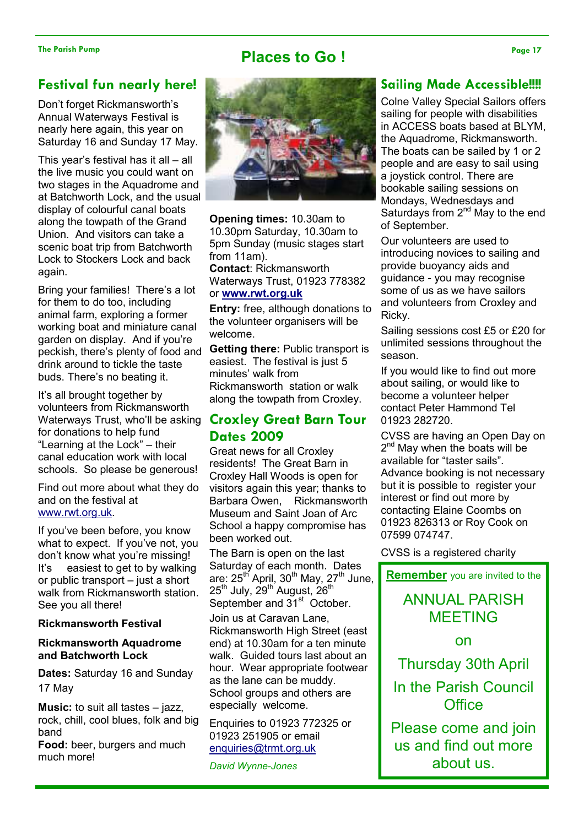## Places to Go !

#### Festival fun nearly here!

Don't forget Rickmansworth's Annual Waterways Festival is nearly here again, this year on Saturday 16 and Sunday 17 May.

This year's festival has it all – all the live music you could want on two stages in the Aquadrome and at Batchworth Lock, and the usual display of colourful canal boats along the towpath of the Grand Union. And visitors can take a scenic boat trip from Batchworth Lock to Stockers Lock and back again.

Bring your families! There's a lot for them to do too, including animal farm, exploring a former working boat and miniature canal garden on display. And if you're peckish, there's plenty of food and drink around to tickle the taste buds. There's no beating it.

It's all brought together by volunteers from Rickmansworth Waterways Trust, who'll be asking for donations to help fund "Learning at the Lock" – their canal education work with local schools. So please be generous!

Find out more about what they do and on the festival at www.rwt.org.uk.

If you've been before, you know what to expect. If you've not, you don't know what you're missing! It's easiest to get to by walking or public transport – just a short walk from Rickmansworth station. See you all there!

#### Rickmansworth Festival

#### Rickmansworth Aquadrome and Batchworth Lock

Dates: Saturday 16 and Sunday 17 May

Music: to suit all tastes – jazz, rock, chill, cool blues, folk and big band

Food: beer, burgers and much much more!



Opening times: 10.30am to 10.30pm Saturday, 10.30am to 5pm Sunday (music stages start from 11am). Contact: Rickmansworth

Waterways Trust, 01923 778382 or www.rwt.org.uk

Entry: free, although donations to the volunteer organisers will be welcome.

Getting there: Public transport is easiest. The festival is just 5 minutes' walk from Rickmansworth station or walk along the towpath from Croxley.

## Croxley Great Barn Tour Dates 2009

Great news for all Croxley residents! The Great Barn in Croxley Hall Woods is open for visitors again this year; thanks to Barbara Owen, Rickmansworth Museum and Saint Joan of Arc School a happy compromise has been worked out.

The Barn is open on the last Saturday of each month. Dates are:  $25<sup>th</sup>$  April,  $30<sup>th</sup>$  May,  $27<sup>th</sup>$  June, 25<sup>th</sup> July, 29<sup>th</sup> August, 26<sup>th</sup> September and 31<sup>st</sup> October.

Join us at Caravan Lane, Rickmansworth High Street (east end) at 10.30am for a ten minute walk. Guided tours last about an hour. Wear appropriate footwear as the lane can be muddy. School groups and others are especially welcome.

Enquiries to 01923 772325 or 01923 251905 or email enquiries@trmt.org.uk

David Wynne-Jones

### Sailing Made Accessible!!!!

Colne Valley Special Sailors offers sailing for people with disabilities in ACCESS boats based at BLYM, the Aquadrome, Rickmansworth. The boats can be sailed by 1 or 2 people and are easy to sail using a joystick control. There are bookable sailing sessions on Mondays, Wednesdays and Saturdays from  $2^{nd}$  May to the end of September.

Our volunteers are used to introducing novices to sailing and provide buoyancy aids and guidance - you may recognise some of us as we have sailors and volunteers from Croxley and Ricky.

Sailing sessions cost £5 or £20 for unlimited sessions throughout the season.

If you would like to find out more about sailing, or would like to become a volunteer helper contact Peter Hammond Tel 01923 282720.

CVSS are having an Open Day on 2<sup>nd</sup> May when the boats will be available for "taster sails". Advance booking is not necessary but it is possible to register your interest or find out more by contacting Elaine Coombs on 01923 826313 or Roy Cook on 07599 074747.

CVSS is a registered charity

**Remember** you are invited to the

# ANNUAL PARISH MEETING

on

Thursday 30th April In the Parish Council **Office** 

Please come and join us and find out more about us.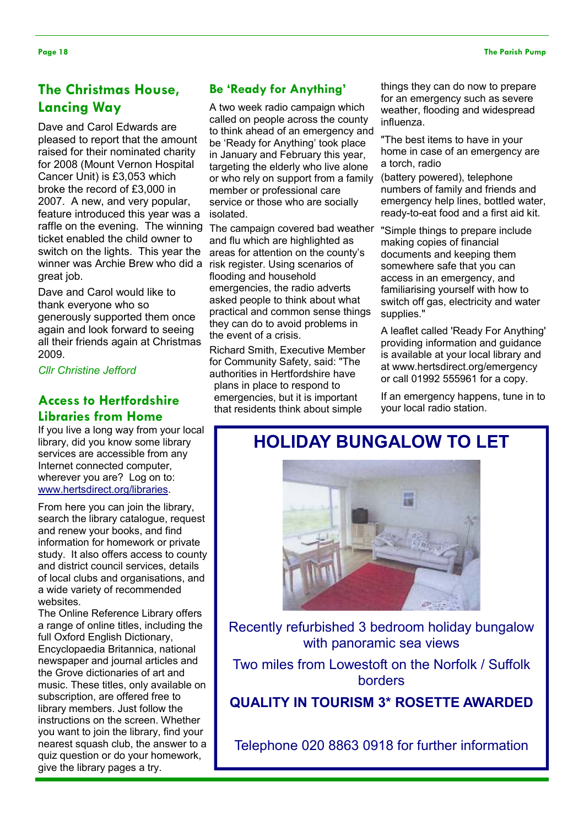## The Christmas House, Lancing Way

Dave and Carol Edwards are pleased to report that the amount raised for their nominated charity for 2008 (Mount Vernon Hospital Cancer Unit) is £3,053 which broke the record of £3,000 in 2007. A new, and very popular, feature introduced this year was a raffle on the evening. The winning ticket enabled the child owner to switch on the lights. This year the winner was Archie Brew who did a great job.

Dave and Carol would like to thank everyone who so generously supported them once again and look forward to seeing all their friends again at Christmas 2009.

Cllr Christine Jefford

# Libraries from Home

If you live a long way from your local library, did you know some library services are accessible from any Internet connected computer, wherever you are? Log on to: www.hertsdirect.org/libraries.

From here you can join the library, search the library catalogue, request and renew your books, and find information for homework or private study. It also offers access to county and district council services, details of local clubs and organisations, and a wide variety of recommended websites.

The Online Reference Library offers a range of online titles, including the full Oxford English Dictionary, Encyclopaedia Britannica, national newspaper and journal articles and the Grove dictionaries of art and music. These titles, only available on subscription, are offered free to library members. Just follow the instructions on the screen. Whether you want to join the library, find your nearest squash club, the answer to a quiz question or do your homework, give the library pages a try.

#### Be 'Ready for Anything'

A two week radio campaign which called on people across the county to think ahead of an emergency and be 'Ready for Anything' took place in January and February this year, targeting the elderly who live alone or who rely on support from a family member or professional care service or those who are socially isolated.

The campaign covered bad weather and flu which are highlighted as areas for attention on the county's risk register. Using scenarios of flooding and household emergencies, the radio adverts asked people to think about what practical and common sense things they can do to avoid problems in the event of a crisis.

Richard Smith, Executive Member for Community Safety, said: "The authorities in Hertfordshire have plans in place to respond to emergencies, but it is important Access to Hertfordshire emergencies, but it is important land emergency happer<br>Likewise frame Herrican station.

things they can do now to prepare for an emergency such as severe weather, flooding and widespread influenza.

"The best items to have in your home in case of an emergency are a torch, radio

(battery powered), telephone numbers of family and friends and emergency help lines, bottled water, ready-to-eat food and a first aid kit.

"Simple things to prepare include making copies of financial documents and keeping them somewhere safe that you can access in an emergency, and familiarising yourself with how to switch off gas, electricity and water supplies."

A leaflet called 'Ready For Anything' providing information and guidance is available at your local library and at www.hertsdirect.org/emergency or call 01992 555961 for a copy.

If an emergency happens, tune in to

# HOLIDAY BUNGALOW TO LET



Recently refurbished 3 bedroom holiday bungalow with panoramic sea views

Two miles from Lowestoft on the Norfolk / Suffolk borders

QUALITY IN TOURISM 3\* ROSETTE AWARDED

Telephone 020 8863 0918 for further information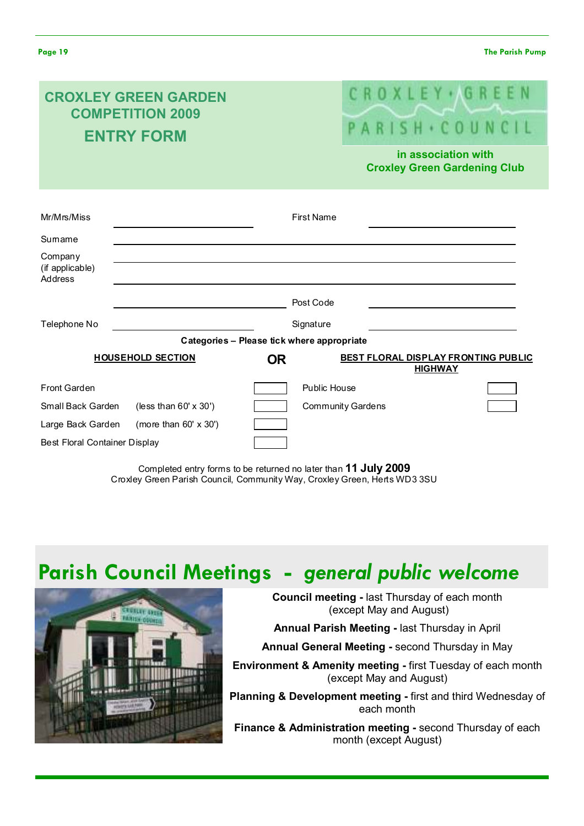| <b>CROXLEY GREEN GARDEN</b><br><b>COMPETITION 2009</b><br><b>ENTRY FORM</b> |                                            |                          |                     | CROXLEY (GREEN<br>PARISH · COUNCIL<br>in association with |
|-----------------------------------------------------------------------------|--------------------------------------------|--------------------------|---------------------|-----------------------------------------------------------|
|                                                                             |                                            |                          |                     | <b>Croxley Green Gardening Club</b>                       |
| Mr/Mrs/Miss                                                                 |                                            |                          | <b>First Name</b>   |                                                           |
| Sumame                                                                      |                                            |                          |                     |                                                           |
| Company<br>(if applicable)<br>Address                                       |                                            |                          |                     |                                                           |
|                                                                             |                                            |                          | Post Code           |                                                           |
| Telephone No                                                                |                                            |                          | Signature           |                                                           |
|                                                                             | Categories - Please tick where appropriate |                          |                     |                                                           |
|                                                                             | <b>HOUSEHOLD SECTION</b>                   | <b>OR</b>                |                     | BEST FLORAL DISPLAY FRONTING PUBLIC<br><b>HIGHWAY</b>     |
| Front Garden                                                                |                                            |                          | <b>Public House</b> |                                                           |
| Small Back Garden<br>(less than 60' x 30')                                  |                                            | <b>Community Gardens</b> |                     |                                                           |
| Large Back Garden                                                           | (more than $60' \times 30'$ )              |                          |                     |                                                           |
| Best Floral Container Display                                               |                                            |                          |                     |                                                           |

Completed entry forms to be returned no later than 11 July 2009 Croxley Green Parish Council, Community Way, Croxley Green, Herts WD3 3SU

# Parish Council Meetings - general public welcome



Council meeting - last Thursday of each month (except May and August)

Annual Parish Meeting - last Thursday in April

Annual General Meeting - second Thursday in May

Environment & Amenity meeting - first Tuesday of each month (except May and August)

Planning & Development meeting - first and third Wednesday of each month

Finance & Administration meeting - second Thursday of each month (except August)